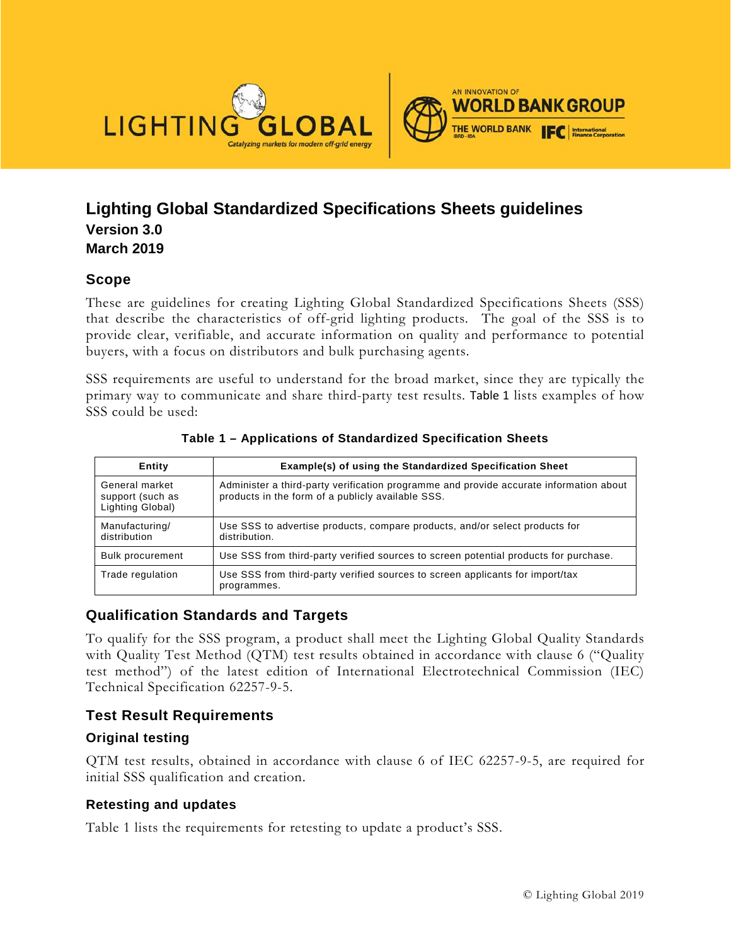

## **Lighting Global Standardized Specifications Sheets guidelines Version 3.0 March 2019**

### **Scope**

These are guidelines for creating Lighting Global Standardized Specifications Sheets (SSS) that describe the characteristics of off-grid lighting products. The goal of the SSS is to provide clear, verifiable, and accurate information on quality and performance to potential buyers, with a focus on distributors and bulk purchasing agents.

SSS requirements are useful to understand for the broad market, since they are typically the primary way to communicate and share third-party test results. [Table 1](#page-0-0) lists examples of how SSS could be used:

<span id="page-0-0"></span>

| Entity                                                 | Example(s) of using the Standardized Specification Sheet                                                                                    |
|--------------------------------------------------------|---------------------------------------------------------------------------------------------------------------------------------------------|
| General market<br>support (such as<br>Lighting Global) | Administer a third-party verification programme and provide accurate information about<br>products in the form of a publicly available SSS. |
| Manufacturing/<br>distribution                         | Use SSS to advertise products, compare products, and/or select products for<br>distribution.                                                |
| <b>Bulk procurement</b>                                | Use SSS from third-party verified sources to screen potential products for purchase.                                                        |
| Trade regulation                                       | Use SSS from third-party verified sources to screen applicants for import/tax<br>programmes.                                                |

**Table 1 – Applications of Standardized Specification Sheets**

### **Qualification Standards and Targets**

To qualify for the SSS program, a product shall meet the Lighting Global Quality Standards with Quality Test Method (QTM) test results obtained in accordance with clause 6 ("Quality test method") of the latest edition of International Electrotechnical Commission (IEC) Technical Specification 62257-9-5.

## **Test Result Requirements**

### **Original testing**

QTM test results, obtained in accordance with clause 6 of IEC 62257-9-5, are required for initial SSS qualification and creation.

#### **Retesting and updates**

[Table](#page-1-0) 1 lists the requirements for retesting to update a product's SSS.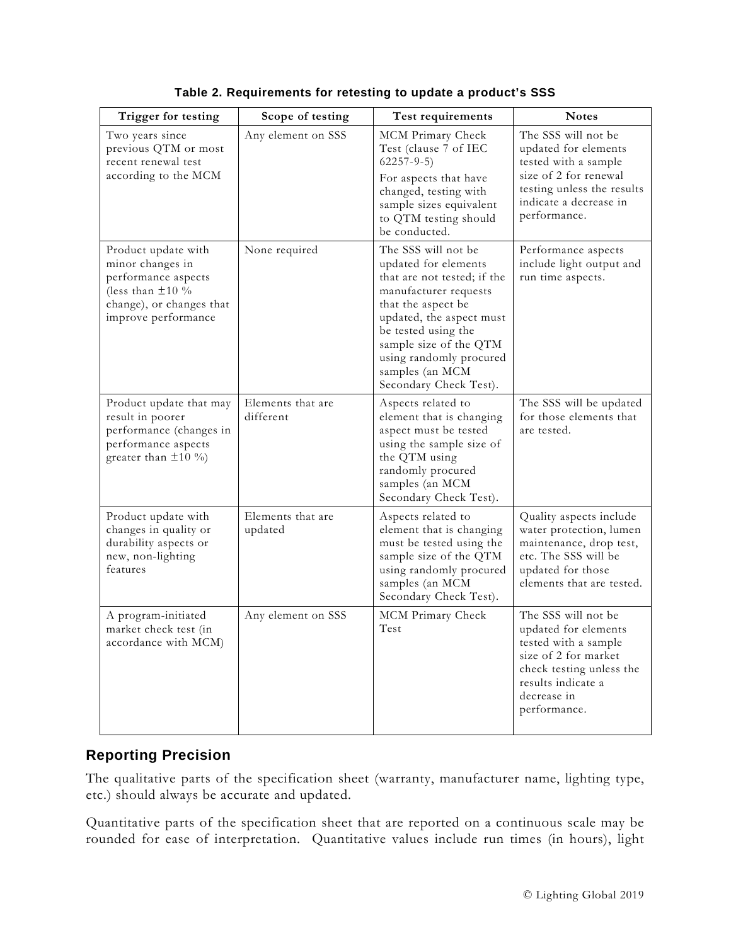<span id="page-1-0"></span>

| Trigger for testing                                                                                                                        | Scope of testing               | Test requirements                                                                                                                                                                                                                                                              | <b>Notes</b>                                                                                                                                                                 |
|--------------------------------------------------------------------------------------------------------------------------------------------|--------------------------------|--------------------------------------------------------------------------------------------------------------------------------------------------------------------------------------------------------------------------------------------------------------------------------|------------------------------------------------------------------------------------------------------------------------------------------------------------------------------|
| Two years since<br>previous QTM or most<br>recent renewal test<br>according to the MCM                                                     | Any element on SSS             | MCM Primary Check<br>Test (clause 7 of IEC<br>$62257 - 9 - 5$<br>For aspects that have<br>changed, testing with<br>sample sizes equivalent<br>to QTM testing should<br>be conducted.                                                                                           | The SSS will not be<br>updated for elements<br>tested with a sample<br>size of 2 for renewal<br>testing unless the results<br>indicate a decrease in<br>performance.         |
| Product update with<br>minor changes in<br>performance aspects<br>(less than $\pm 10\%$<br>change), or changes that<br>improve performance | None required                  | The SSS will not be<br>updated for elements<br>that are not tested; if the<br>manufacturer requests<br>that the aspect be<br>updated, the aspect must<br>be tested using the<br>sample size of the QTM<br>using randomly procured<br>samples (an MCM<br>Secondary Check Test). | Performance aspects<br>include light output and<br>run time aspects.                                                                                                         |
| Product update that may<br>result in poorer<br>performance (changes in<br>performance aspects<br>greater than $\pm 10\%$                   | Elements that are<br>different | Aspects related to<br>element that is changing<br>aspect must be tested<br>using the sample size of<br>the QTM using<br>randomly procured<br>samples (an MCM<br>Secondary Check Test).                                                                                         | The SSS will be updated<br>for those elements that<br>are tested.                                                                                                            |
| Product update with<br>changes in quality or<br>durability aspects or<br>new, non-lighting<br>features                                     | Elements that are<br>updated   | Aspects related to<br>element that is changing<br>must be tested using the<br>sample size of the QTM<br>using randomly procured<br>samples (an MCM<br>Secondary Check Test).                                                                                                   | Quality aspects include<br>water protection, lumen<br>maintenance, drop test,<br>etc. The SSS will be<br>updated for those<br>elements that are tested.                      |
| A program-initiated<br>market check test (in<br>accordance with MCM)                                                                       | Any element on SSS             | MCM Primary Check<br>Test                                                                                                                                                                                                                                                      | The SSS will not be<br>updated for elements<br>tested with a sample<br>size of 2 for market<br>check testing unless the<br>results indicate a<br>decrease in<br>performance. |

**Table 2. Requirements for retesting to update a product's SSS**

## **Reporting Precision**

The qualitative parts of the specification sheet (warranty, manufacturer name, lighting type, etc.) should always be accurate and updated.

Quantitative parts of the specification sheet that are reported on a continuous scale may be rounded for ease of interpretation. Quantitative values include run times (in hours), light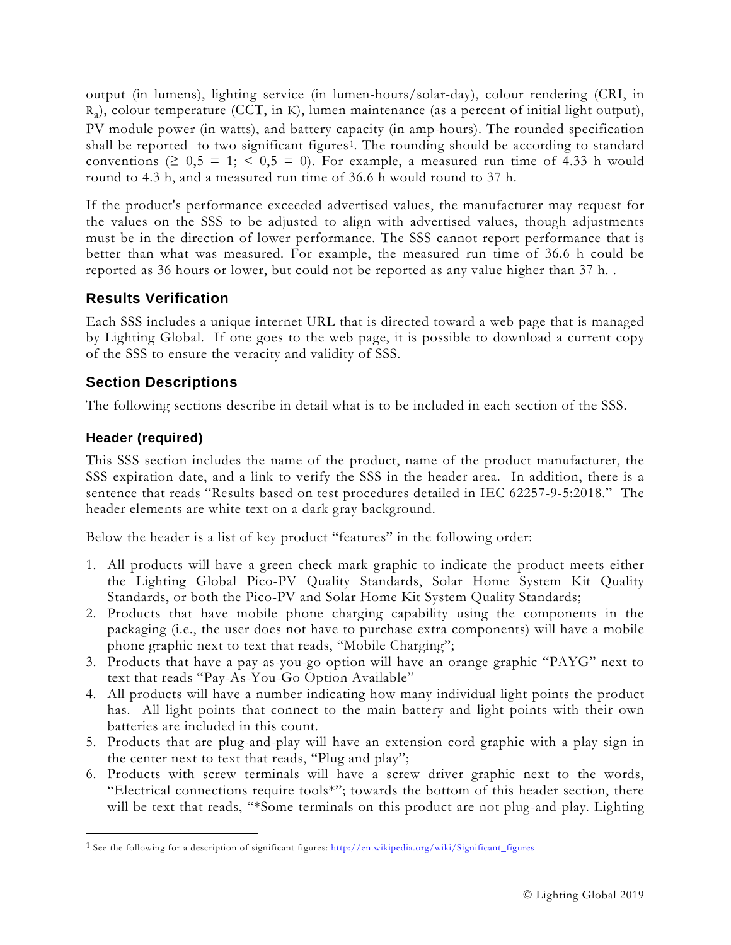output (in lumens), lighting service (in lumen-hours/solar-day), colour rendering (CRI, in  $R_a$ ), colour temperature (CCT, in K), lumen maintenance (as a percent of initial light output), PV module power (in watts), and battery capacity (in amp-hours). The rounded specification shall be reported to two significant figures<sup>1</sup>. The rounding should be according to standard conventions ( $\geq 0.5 = 1$ ;  $\lt 0.5 = 0$ ). For example, a measured run time of 4.33 h would round to 4.3 h, and a measured run time of 36.6 h would round to 37 h.

If the product's performance exceeded advertised values, the manufacturer may request for the values on the SSS to be adjusted to align with advertised values, though adjustments must be in the direction of lower performance. The SSS cannot report performance that is better than what was measured. For example, the measured run time of 36.6 h could be reported as 36 hours or lower, but could not be reported as any value higher than 37 h. .

## **Results Verification**

Each SSS includes a unique internet URL that is directed toward a web page that is managed by Lighting Global. If one goes to the web page, it is possible to download a current copy of the SSS to ensure the veracity and validity of SSS.

## **Section Descriptions**

The following sections describe in detail what is to be included in each section of the SSS.

## **Header (required)**

l

This SSS section includes the name of the product, name of the product manufacturer, the SSS expiration date, and a link to verify the SSS in the header area. In addition, there is a sentence that reads "Results based on test procedures detailed in IEC 62257-9-5:2018." The header elements are white text on a dark gray background.

Below the header is a list of key product "features" in the following order:

- 1. All products will have a green check mark graphic to indicate the product meets either the Lighting Global Pico-PV Quality Standards, Solar Home System Kit Quality Standards, or both the Pico-PV and Solar Home Kit System Quality Standards;
- 2. Products that have mobile phone charging capability using the components in the packaging (i.e., the user does not have to purchase extra components) will have a mobile phone graphic next to text that reads, "Mobile Charging";
- 3. Products that have a pay-as-you-go option will have an orange graphic "PAYG" next to text that reads "Pay-As-You-Go Option Available"
- 4. All products will have a number indicating how many individual light points the product has. All light points that connect to the main battery and light points with their own batteries are included in this count.
- 5. Products that are plug-and-play will have an extension cord graphic with a play sign in the center next to text that reads, "Plug and play";
- 6. Products with screw terminals will have a screw driver graphic next to the words, "Electrical connections require tools\*"; towards the bottom of this header section, there will be text that reads, "\*Some terminals on this product are not plug-and-play. Lighting

<span id="page-2-0"></span><sup>1</sup> See the following for a description of significant figures: [http://en.wikipedia.org/wiki/Significant\\_figures](http://en.wikipedia.org/wiki/Significant_figures)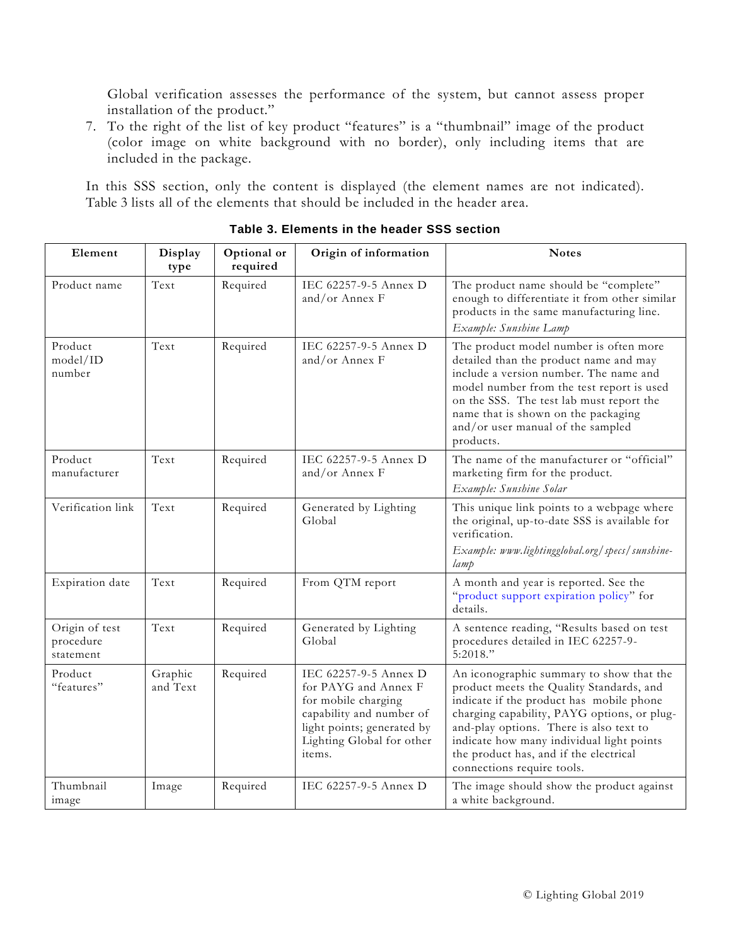Global verification assesses the performance of the system, but cannot assess proper installation of the product."

7. To the right of the list of key product "features" is a "thumbnail" image of the product (color image on white background with no border), only including items that are included in the package.

<span id="page-3-0"></span>In this SSS section, only the content is displayed (the element names are not indicated). [Table](#page-3-0) 3 lists all of the elements that should be included in the header area.

| Element                                  | Display<br>type     | Optional or<br>required | Origin of information                                                                                                                                                 | <b>Notes</b>                                                                                                                                                                                                                                                                                                                                    |
|------------------------------------------|---------------------|-------------------------|-----------------------------------------------------------------------------------------------------------------------------------------------------------------------|-------------------------------------------------------------------------------------------------------------------------------------------------------------------------------------------------------------------------------------------------------------------------------------------------------------------------------------------------|
| Product name                             | Text                | Required                | IEC 62257-9-5 Annex D<br>and/or Annex F                                                                                                                               | The product name should be "complete"<br>enough to differentiate it from other similar<br>products in the same manufacturing line.<br>Example: Sunshine Lamp                                                                                                                                                                                    |
| Product<br>model/ID<br>number            | Text                | Required                | IEC 62257-9-5 Annex D<br>and/or Annex $F$                                                                                                                             | The product model number is often more<br>detailed than the product name and may<br>include a version number. The name and<br>model number from the test report is used<br>on the SSS. The test lab must report the<br>name that is shown on the packaging<br>and/or user manual of the sampled<br>products.                                    |
| Product<br>manufacturer                  | Text                | Required                | IEC 62257-9-5 Annex D<br>and/or Annex F                                                                                                                               | The name of the manufacturer or "official"<br>marketing firm for the product.<br>Example: Sunshine Solar                                                                                                                                                                                                                                        |
| Verification link                        | Text                | Required                | Generated by Lighting<br>Global                                                                                                                                       | This unique link points to a webpage where<br>the original, up-to-date SSS is available for<br>verification.<br>Example: www.lightingglobal.org/specs/sunshine-<br>lamp                                                                                                                                                                         |
| Expiration date                          | Text                | Required                | From QTM report                                                                                                                                                       | A month and year is reported. See the<br>"product support expiration policy" for<br>details.                                                                                                                                                                                                                                                    |
| Origin of test<br>procedure<br>statement | Text                | Required                | Generated by Lighting<br>Global                                                                                                                                       | A sentence reading, "Results based on test<br>procedures detailed in IEC 62257-9-<br>5:2018."                                                                                                                                                                                                                                                   |
| Product<br>"features"                    | Graphic<br>and Text | Required                | IEC 62257-9-5 Annex D<br>for PAYG and Annex F<br>for mobile charging<br>capability and number of<br>light points; generated by<br>Lighting Global for other<br>items. | An iconographic summary to show that the<br>product meets the Quality Standards, and<br>indicate if the product has mobile phone<br>charging capability, PAYG options, or plug-<br>and-play options. There is also text to<br>indicate how many individual light points<br>the product has, and if the electrical<br>connections require tools. |
| Thumbnail<br>image                       | Image               | Required                | IEC 62257-9-5 Annex D                                                                                                                                                 | The image should show the product against<br>a white background.                                                                                                                                                                                                                                                                                |

**Table 3. Elements in the header SSS section**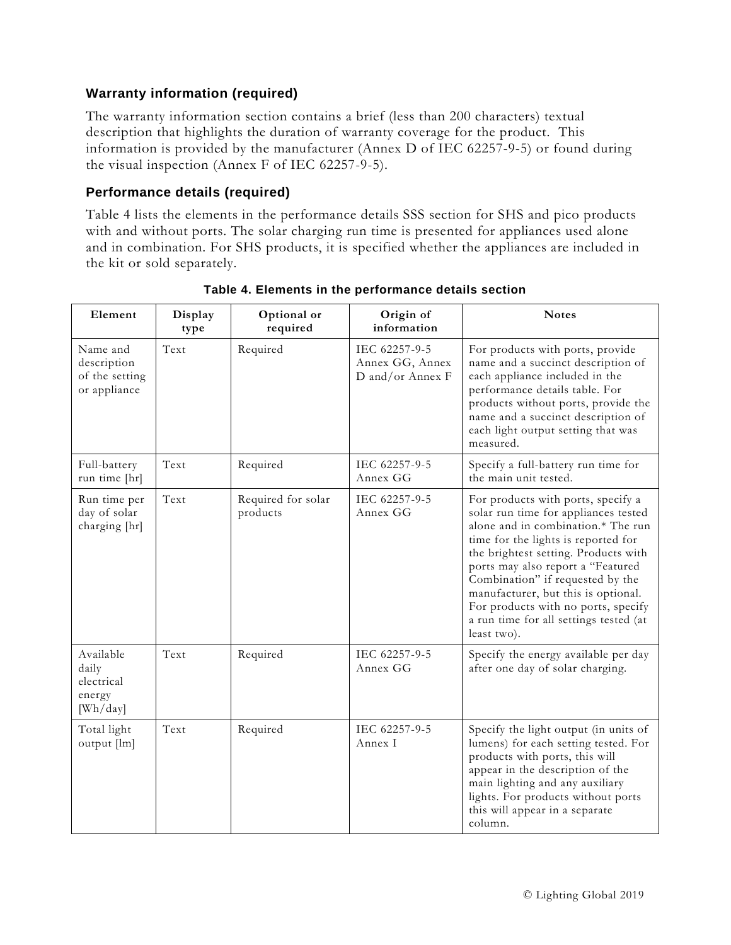### **Warranty information (required)**

The warranty information section contains a brief (less than 200 characters) textual description that highlights the duration of warranty coverage for the product. This information is provided by the manufacturer (Annex D of IEC 62257-9-5) or found during the visual inspection (Annex F of IEC 62257-9-5).

#### **Performance details (required)**

[Table](#page-4-0) 4 lists the elements in the performance details SSS section for SHS and pico products with and without ports. The solar charging run time is presented for appliances used alone and in combination. For SHS products, it is specified whether the appliances are included in the kit or sold separately.

<span id="page-4-0"></span>

| Element                                                   | Display<br>type | Optional or<br>required        | Origin of<br>information                             | <b>Notes</b>                                                                                                                                                                                                                                                                                                                                                                                                    |
|-----------------------------------------------------------|-----------------|--------------------------------|------------------------------------------------------|-----------------------------------------------------------------------------------------------------------------------------------------------------------------------------------------------------------------------------------------------------------------------------------------------------------------------------------------------------------------------------------------------------------------|
| Name and<br>description<br>of the setting<br>or appliance | Text            | Required                       | IEC 62257-9-5<br>Annex GG, Annex<br>D and/or Annex F | For products with ports, provide<br>name and a succinct description of<br>each appliance included in the<br>performance details table. For<br>products without ports, provide the<br>name and a succinct description of<br>each light output setting that was<br>measured.                                                                                                                                      |
| Full-battery<br>run time [hr]                             | Text            | Required                       | IEC 62257-9-5<br>Annex GG                            | Specify a full-battery run time for<br>the main unit tested.                                                                                                                                                                                                                                                                                                                                                    |
| Run time per<br>day of solar<br>charging [hr]             | Text            | Required for solar<br>products | IEC 62257-9-5<br>Annex GG                            | For products with ports, specify a<br>solar run time for appliances tested<br>alone and in combination.* The run<br>time for the lights is reported for<br>the brightest setting. Products with<br>ports may also report a "Featured<br>Combination" if requested by the<br>manufacturer, but this is optional.<br>For products with no ports, specify<br>a run time for all settings tested (at<br>least two). |
| Available<br>daily<br>electrical<br>energy<br>[Wh/day]    | Text            | Required                       | IEC 62257-9-5<br>Annex GG                            | Specify the energy available per day<br>after one day of solar charging.                                                                                                                                                                                                                                                                                                                                        |
| Total light<br>output [lm]                                | Text            | Required                       | IEC 62257-9-5<br>Annex I                             | Specify the light output (in units of<br>lumens) for each setting tested. For<br>products with ports, this will<br>appear in the description of the<br>main lighting and any auxiliary<br>lights. For products without ports<br>this will appear in a separate<br>column.                                                                                                                                       |

#### **Table 4. Elements in the performance details section**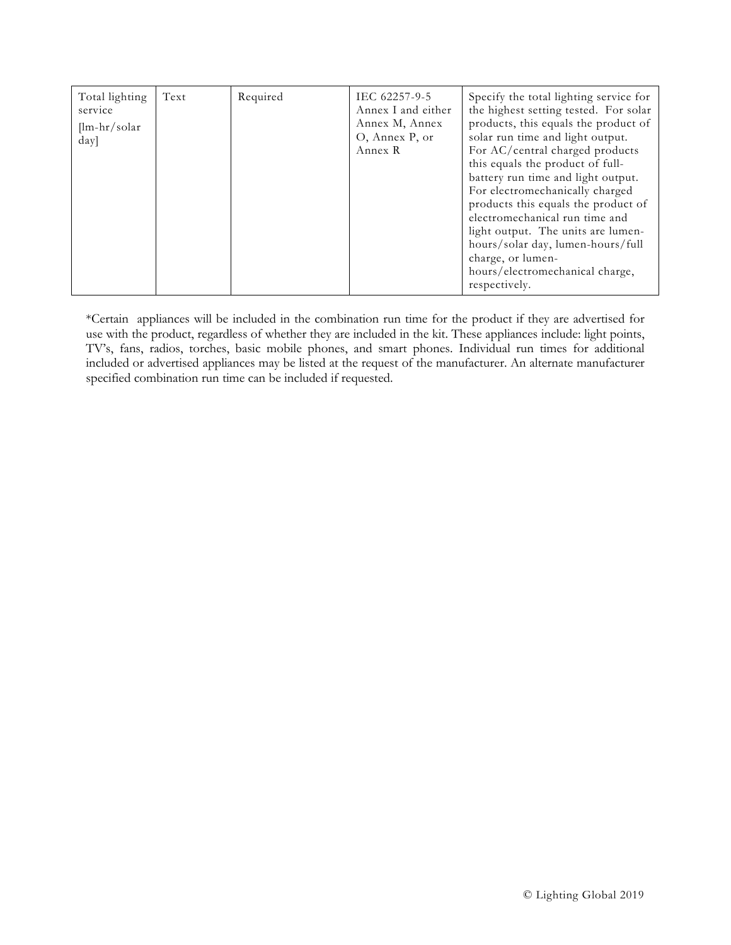| Text<br>Required<br>Total lighting<br>IEC 62257-9-5<br>Annex I and either<br>service<br>Annex M, Annex<br>$[lm-hr/solar]$<br>O, Annex P, or<br>day]<br>Annex R | the highest setting tested. For solar<br>products, this equals the product of<br>solar run time and light output.<br>For AC/central charged products<br>this equals the product of full-<br>battery run time and light output.<br>For electromechanically charged<br>products this equals the product of<br>electromechanical run time and<br>light output. The units are lumen-<br>hours/solar day, lumen-hours/full<br>charge, or lumen-<br>hours/electromechanical charge,<br>respectively. |
|----------------------------------------------------------------------------------------------------------------------------------------------------------------|------------------------------------------------------------------------------------------------------------------------------------------------------------------------------------------------------------------------------------------------------------------------------------------------------------------------------------------------------------------------------------------------------------------------------------------------------------------------------------------------|
|----------------------------------------------------------------------------------------------------------------------------------------------------------------|------------------------------------------------------------------------------------------------------------------------------------------------------------------------------------------------------------------------------------------------------------------------------------------------------------------------------------------------------------------------------------------------------------------------------------------------------------------------------------------------|

\*Certain appliances will be included in the combination run time for the product if they are advertised for use with the product, regardless of whether they are included in the kit. These appliances include: light points, TV's, fans, radios, torches, basic mobile phones, and smart phones. Individual run times for additional included or advertised appliances may be listed at the request of the manufacturer. An alternate manufacturer specified combination run time can be included if requested.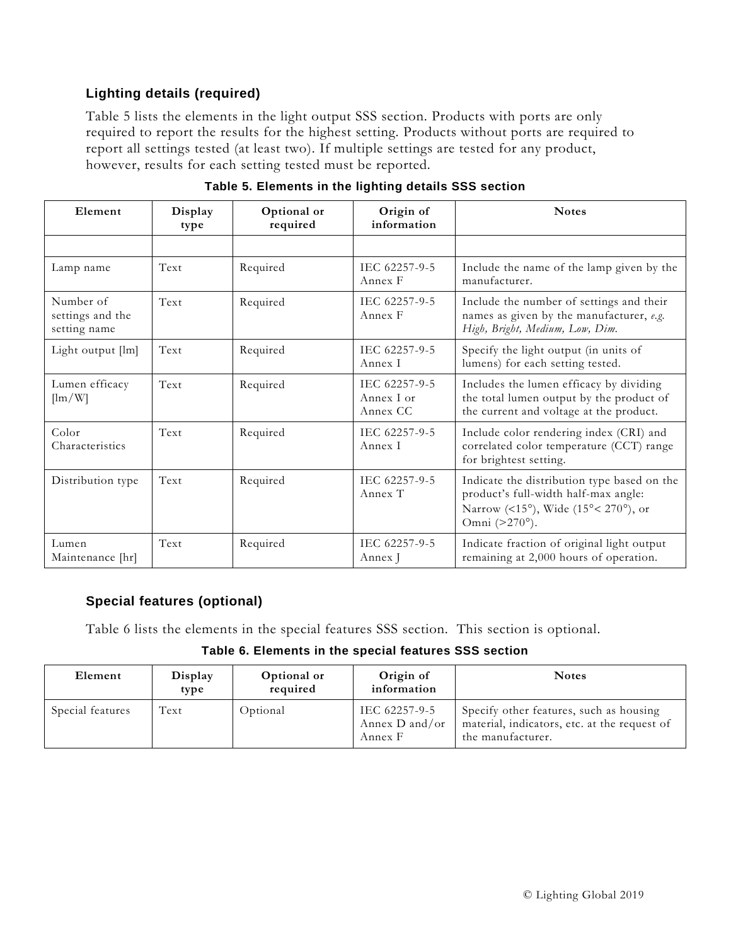## **Lighting details (required)**

[Table](#page-6-0) 5 lists the elements in the light output SSS section. Products with ports are only required to report the results for the highest setting. Products without ports are required to report all settings tested (at least two). If multiple settings are tested for any product, however, results for each setting tested must be reported.

<span id="page-6-0"></span>

| Element                                       | Display<br>type | Optional or<br>required | Origin of<br>information                | <b>Notes</b>                                                                                                                                |
|-----------------------------------------------|-----------------|-------------------------|-----------------------------------------|---------------------------------------------------------------------------------------------------------------------------------------------|
|                                               |                 |                         |                                         |                                                                                                                                             |
| Lamp name                                     | Text            | Required                | IEC 62257-9-5<br>Annex F                | Include the name of the lamp given by the<br>manufacturer.                                                                                  |
| Number of<br>settings and the<br>setting name | Text            | Required                | IEC 62257-9-5<br>Annex F                | Include the number of settings and their<br>names as given by the manufacturer, e.g.<br>High, Bright, Medium, Low, Dim.                     |
| Light output [lm]                             | Text            | Required                | IEC 62257-9-5<br>Annex I                | Specify the light output (in units of<br>lumens) for each setting tested.                                                                   |
| Lumen efficacy<br>$[\text{lm}/\text{W}]$      | Text            | Required                | IEC 62257-9-5<br>Annex I or<br>Annex CC | Includes the lumen efficacy by dividing<br>the total lumen output by the product of<br>the current and voltage at the product.              |
| Color<br>Characteristics                      | Text            | Required                | IEC 62257-9-5<br>Annex I                | Include color rendering index (CRI) and<br>correlated color temperature (CCT) range<br>for brightest setting.                               |
| Distribution type                             | Text            | Required                | IEC 62257-9-5<br>Annex T                | Indicate the distribution type based on the<br>product's full-width half-max angle:<br>Narrow (<15°), Wide (15°< 270°), or<br>Omni (>270°). |
| Lumen<br>Maintenance [hr]                     | Text            | Required                | IEC 62257-9-5<br>Annex J                | Indicate fraction of original light output<br>remaining at 2,000 hours of operation.                                                        |

**Table 5. Elements in the lighting details SSS section**

### **Special features (optional)**

<span id="page-6-1"></span>[Table](#page-6-1) 6 lists the elements in the special features SSS section. This section is optional.

#### **Table 6. Elements in the special features SSS section**

| Element          | Display<br>type | Optional or<br>required | Origin of<br>information                   | <b>Notes</b>                                                                                                 |
|------------------|-----------------|-------------------------|--------------------------------------------|--------------------------------------------------------------------------------------------------------------|
| Special features | Text            | Optional                | IEC 62257-9-5<br>Annex D and/or<br>Annex F | Specify other features, such as housing<br>material, indicators, etc. at the request of<br>the manufacturer. |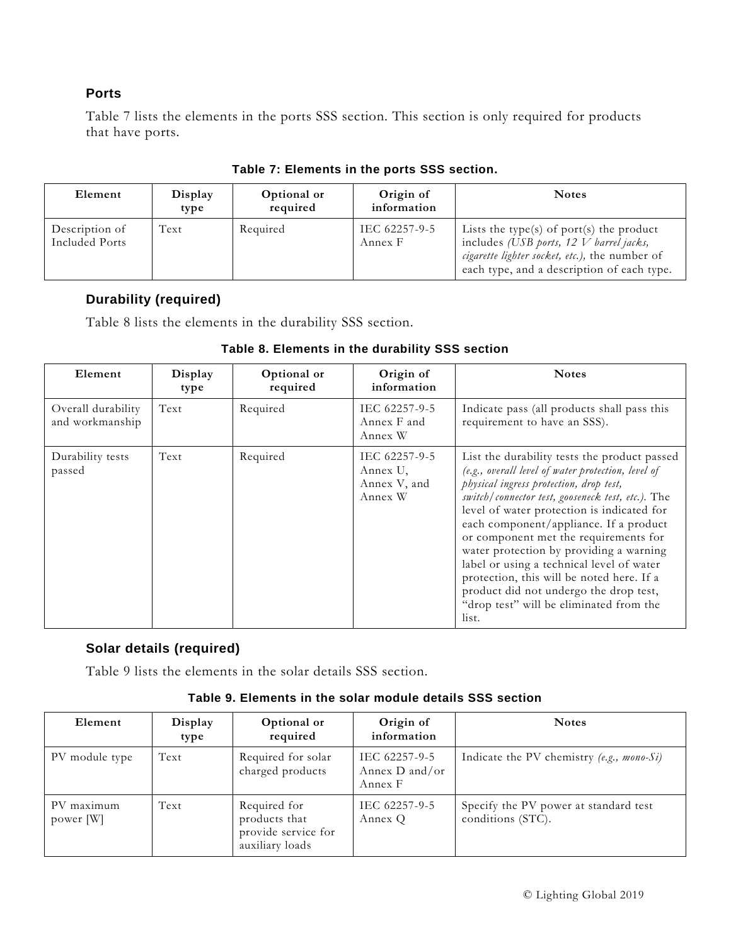#### **Ports**

[Table](#page-6-1) 7 lists the elements in the ports SSS section. This section is only required for products that have ports.

| Element                          | Display<br>type | Optional or<br>required | Origin of<br>information | <b>Notes</b>                                                                                                                                                                          |
|----------------------------------|-----------------|-------------------------|--------------------------|---------------------------------------------------------------------------------------------------------------------------------------------------------------------------------------|
| Description of<br>Included Ports | Text            | Required                | IEC 62257-9-5<br>Annex F | Lists the type(s) of port(s) the product<br>includes (USB ports, $12$ V barrel jacks,<br>cigarette lighter socket, etc.), the number of<br>each type, and a description of each type. |

#### **Table 7: Elements in the ports SSS section.**

#### **Durability (required)**

<span id="page-7-0"></span>[Table](#page-7-0) 8 lists the elements in the durability SSS section.

| Element                               | Display<br>type | Optional or<br>required | Origin of<br>information                             | <b>Notes</b>                                                                                                                                                                                                                                                                                                                                                                                                                                                                                                                                                           |
|---------------------------------------|-----------------|-------------------------|------------------------------------------------------|------------------------------------------------------------------------------------------------------------------------------------------------------------------------------------------------------------------------------------------------------------------------------------------------------------------------------------------------------------------------------------------------------------------------------------------------------------------------------------------------------------------------------------------------------------------------|
| Overall durability<br>and workmanship | Text            | Required                | IEC 62257-9-5<br>Annex F and<br>Annex W              | Indicate pass (all products shall pass this<br>requirement to have an SSS).                                                                                                                                                                                                                                                                                                                                                                                                                                                                                            |
| Durability tests<br>passed            | Text            | Required                | IEC 62257-9-5<br>Annex U,<br>Annex V, and<br>Annex W | List the durability tests the product passed<br>(e.g., overall level of water protection, level of<br>physical ingress protection, drop test,<br>switch/connector test, gooseneck test, etc.). The<br>level of water protection is indicated for<br>each component/appliance. If a product<br>or component met the requirements for<br>water protection by providing a warning<br>label or using a technical level of water<br>protection, this will be noted here. If a<br>product did not undergo the drop test,<br>"drop test" will be eliminated from the<br>list. |

## **Table 8. Elements in the durability SSS section**

### **Solar details (required)**

<span id="page-7-1"></span>[Table](#page-7-1) 9 lists the elements in the solar details SSS section.

#### **Table 9. Elements in the solar module details SSS section**

| Element                 | Display<br>type | Optional or<br>required                                                 | Origin of<br>information                   | <b>Notes</b>                                               |
|-------------------------|-----------------|-------------------------------------------------------------------------|--------------------------------------------|------------------------------------------------------------|
| PV module type          | Text            | Required for solar<br>charged products                                  | IEC 62257-9-5<br>Annex D and/or<br>Annex F | Indicate the PV chemistry (e.g., mono-Si)                  |
| PV maximum<br>power [W] | Text            | Required for<br>products that<br>provide service for<br>auxiliary loads | IEC 62257-9-5<br>Annex Q                   | Specify the PV power at standard test<br>conditions (STC). |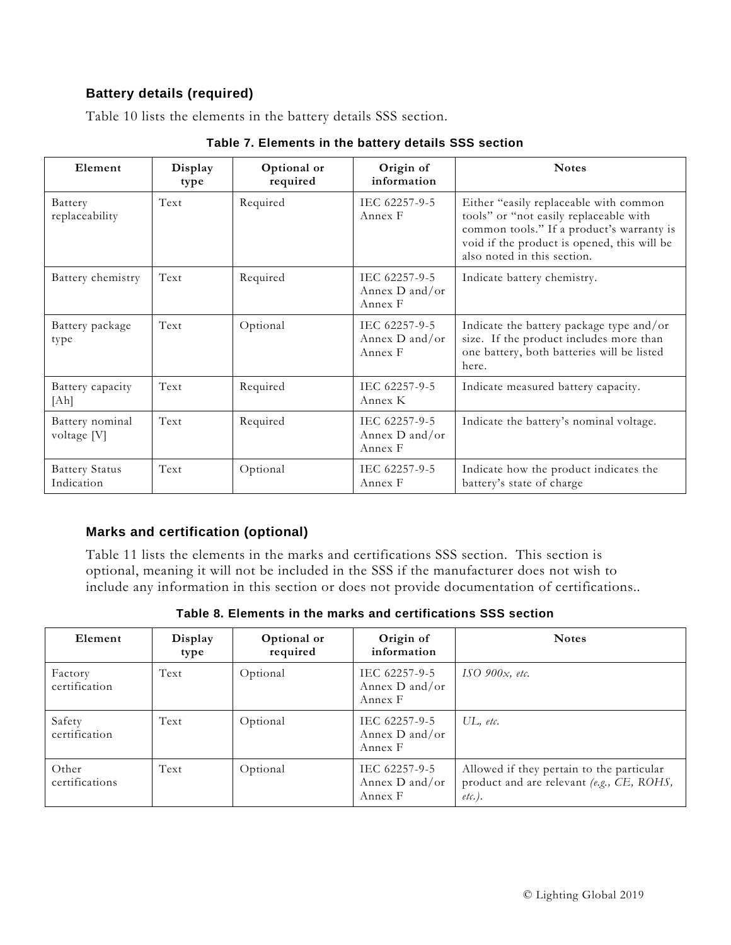## **Battery details (required)**

[Table](#page-7-1) 10 lists the elements in the battery details SSS section.

| Element                             | Display<br>type | Optional or<br>required | Origin of<br>information                   | <b>Notes</b>                                                                                                                                                                                                |
|-------------------------------------|-----------------|-------------------------|--------------------------------------------|-------------------------------------------------------------------------------------------------------------------------------------------------------------------------------------------------------------|
| Battery<br>replaceability           | Text            | Required                | IEC 62257-9-5<br>Annex F                   | Either "easily replaceable with common<br>tools" or "not easily replaceable with<br>common tools." If a product's warranty is<br>void if the product is opened, this will be<br>also noted in this section. |
| Battery chemistry                   | Text            | Required                | IEC 62257-9-5<br>Annex D and/or<br>Annex F | Indicate battery chemistry.                                                                                                                                                                                 |
| Battery package<br>type             | Text            | Optional                | IEC 62257-9-5<br>Annex D and/or<br>Annex F | Indicate the battery package type and/or<br>size. If the product includes more than<br>one battery, both batteries will be listed<br>here.                                                                  |
| Battery capacity<br>[Ah]            | Text            | Required                | IEC 62257-9-5<br>Annex K                   | Indicate measured battery capacity.                                                                                                                                                                         |
| Battery nominal<br>voltage [V]      | Text            | Required                | IEC 62257-9-5<br>Annex D and/or<br>Annex F | Indicate the battery's nominal voltage.                                                                                                                                                                     |
| <b>Battery Status</b><br>Indication | Text            | Optional                | IEC 62257-9-5<br>Annex F                   | Indicate how the product indicates the<br>battery's state of charge                                                                                                                                         |

**Table 7. Elements in the battery details SSS section**

## **Marks and certification (optional)**

[Table](#page-8-0) 11 lists the elements in the marks and certifications SSS section. This section is optional, meaning it will not be included in the SSS if the manufacturer does not wish to include any information in this section or does not provide documentation of certifications..

<span id="page-8-0"></span>

| Element                  | Display<br>type | Optional or<br>required | Origin of<br>information                   | <b>Notes</b>                                                                                        |
|--------------------------|-----------------|-------------------------|--------------------------------------------|-----------------------------------------------------------------------------------------------------|
| Factory<br>certification | Text            | Optional                | IEC 62257-9-5<br>Annex D and/or<br>Annex F | ISO 900 $x$ , etc.                                                                                  |
| Safety<br>certification  | Text            | Optional                | IEC 62257-9-5<br>Annex D and/or<br>Annex F | $UL$ , etc.                                                                                         |
| Other<br>certifications  | Text            | Optional                | IEC 62257-9-5<br>Annex D and/or<br>Annex F | Allowed if they pertain to the particular<br>product and are relevant (e.g., CE, ROHS,<br>$etc.$ ). |

**Table 8. Elements in the marks and certifications SSS section**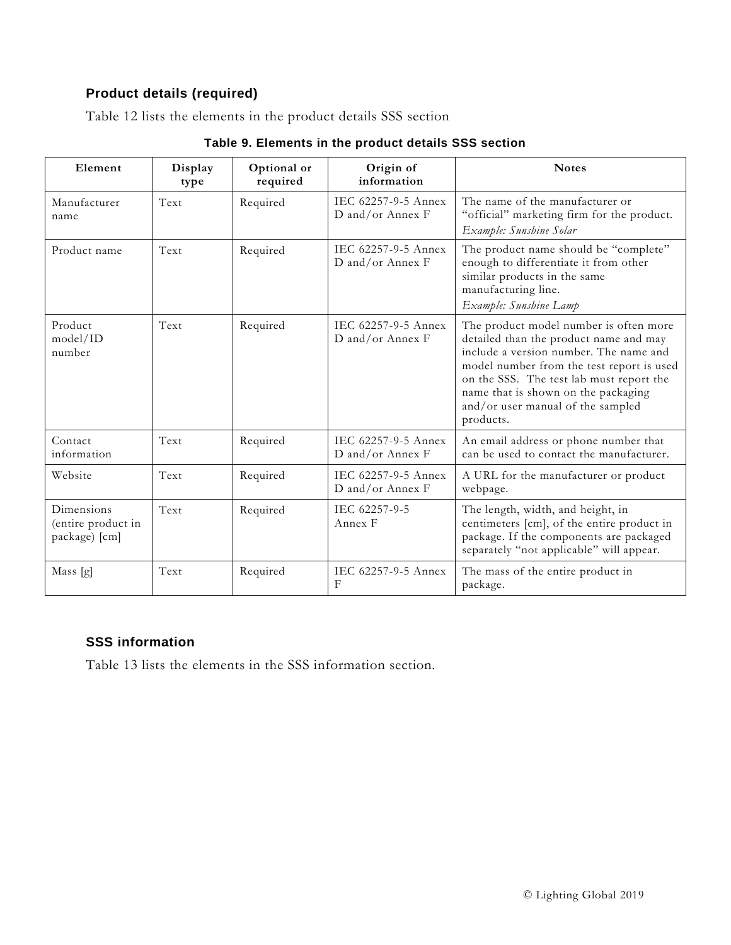## **Product details (required)**

<span id="page-9-0"></span>[Table](#page-9-0) 12 lists the elements in the product details SSS section

| Element                                           | Display<br>type | Optional or<br>required | Origin of<br>information                | <b>Notes</b>                                                                                                                                                                                                                                                                                                 |
|---------------------------------------------------|-----------------|-------------------------|-----------------------------------------|--------------------------------------------------------------------------------------------------------------------------------------------------------------------------------------------------------------------------------------------------------------------------------------------------------------|
| Manufacturer<br>name                              | Text            | Required                | IEC 62257-9-5 Annex<br>D and/or Annex F | The name of the manufacturer or<br>"official" marketing firm for the product.<br>Example: Sunshine Solar                                                                                                                                                                                                     |
| Product name                                      | Text            | Required                | IEC 62257-9-5 Annex<br>D and/or Annex F | The product name should be "complete"<br>enough to differentiate it from other<br>similar products in the same<br>manufacturing line.<br>Example: Sunshine Lamp                                                                                                                                              |
| Product<br>model/ID<br>number                     | Text            | Required                | IEC 62257-9-5 Annex<br>D and/or Annex F | The product model number is often more<br>detailed than the product name and may<br>include a version number. The name and<br>model number from the test report is used<br>on the SSS. The test lab must report the<br>name that is shown on the packaging<br>and/or user manual of the sampled<br>products. |
| Contact<br>information                            | Text            | Required                | IEC 62257-9-5 Annex<br>D and/or Annex F | An email address or phone number that<br>can be used to contact the manufacturer.                                                                                                                                                                                                                            |
| Website                                           | Text            | Required                | IEC 62257-9-5 Annex<br>D and/or Annex F | A URL for the manufacturer or product<br>webpage.                                                                                                                                                                                                                                                            |
| Dimensions<br>(entire product in<br>package) [cm] | Text            | Required                | IEC 62257-9-5<br>Annex F                | The length, width, and height, in<br>centimeters [cm], of the entire product in<br>package. If the components are packaged<br>separately "not applicable" will appear.                                                                                                                                       |
| Mass [g]                                          | Text            | Required                | IEC 62257-9-5 Annex<br>$\mathbf{F}$     | The mass of the entire product in<br>package.                                                                                                                                                                                                                                                                |

### **SSS information**

[Table](#page-10-0) 13 lists the elements in the SSS information section.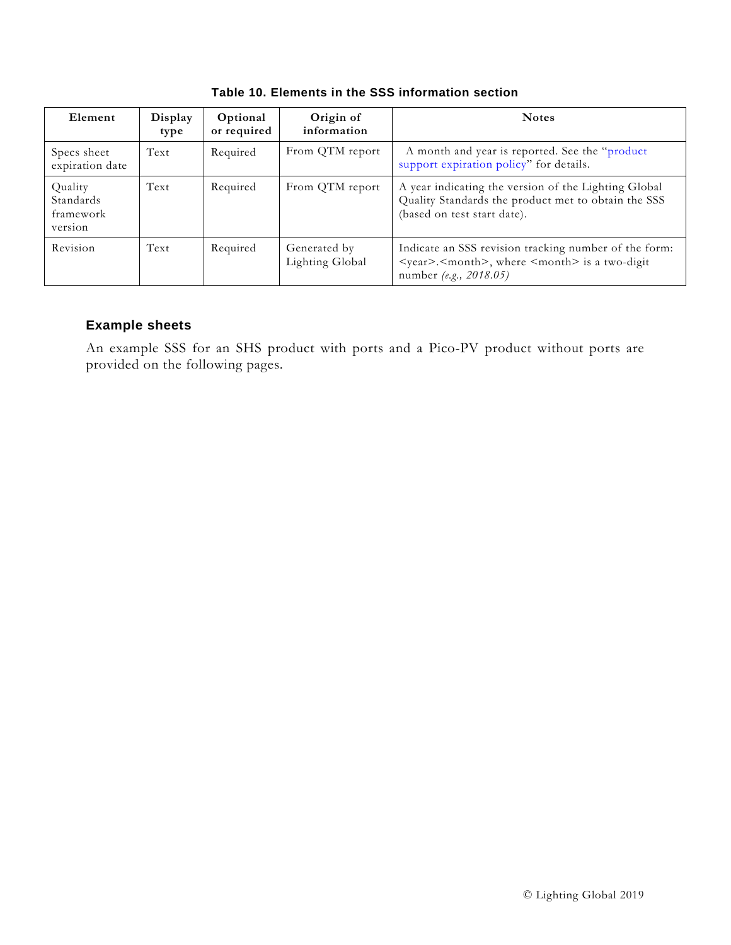<span id="page-10-0"></span>

| Element                                      | Display<br>type | Optional<br>or required | Origin of<br>information        | <b>Notes</b>                                                                                                                                            |
|----------------------------------------------|-----------------|-------------------------|---------------------------------|---------------------------------------------------------------------------------------------------------------------------------------------------------|
| Specs sheet<br>expiration date               | Text            | Required                | From QTM report                 | A month and year is reported. See the "product"<br>support expiration policy" for details.                                                              |
| Quality<br>Standards<br>framework<br>version | Text            | Required                | From QTM report                 | A year indicating the version of the Lighting Global<br>Quality Standards the product met to obtain the SSS<br>(based on test start date).              |
| Revision                                     | Text            | Required                | Generated by<br>Lighting Global | Indicate an SSS revision tracking number of the form:<br><year>.<month>, where <month> is a two-digit<br/>number (e.g., 2018.05)</month></month></year> |

**Table 10. Elements in the SSS information section**

#### **Example sheets**

An example SSS for an SHS product with ports and a Pico-PV product without ports are provided on the following pages.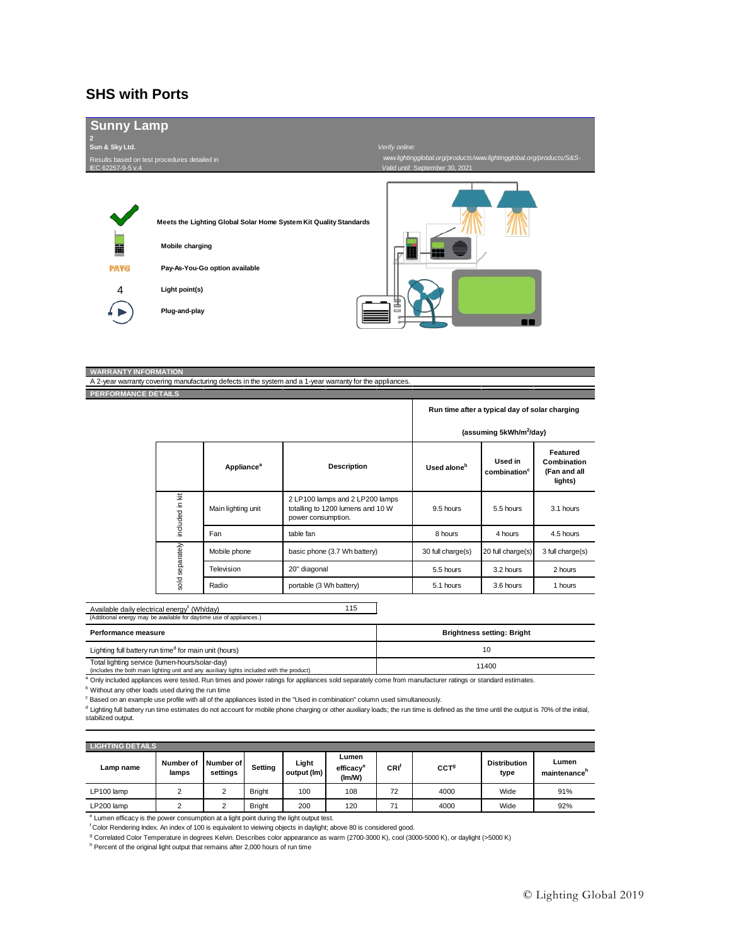#### **SHS with Ports**



#### **WARRANTY INFORMATION**

A 2-year warranty covering manufacturing defects in the system and a 1-year warranty for the appliances. **PERFORMANCE DETAILS**

**Run time after a typical day of solar charging**

|                 |                               |                                                                                            |                         | (assuming 5kWh/m <sup>2</sup> /day) |                                                    |
|-----------------|-------------------------------|--------------------------------------------------------------------------------------------|-------------------------|-------------------------------------|----------------------------------------------------|
|                 | <b>Appliance</b> <sup>a</sup> | <b>Description</b>                                                                         | Used alone <sup>b</sup> | Used in<br>combination <sup>c</sup> | Featured<br>Combination<br>(Fan and all<br>lights) |
| included in kit | Main lighting unit            | 2 LP100 lamps and 2 LP200 lamps<br>totalling to 1200 lumens and 10 W<br>power consumption. | 9.5 hours               | 5.5 hours                           | 3.1 hours                                          |
|                 | Fan                           | table fan                                                                                  | 8 hours                 | 4 hours                             | 4.5 hours                                          |
| sold separately | Mobile phone                  | basic phone (3.7 Wh battery)                                                               | 30 full charge(s)       | 20 full charge(s)                   | 3 full charge(s)                                   |
|                 | Television                    | 20" diagonal                                                                               | 5.5 hours               | 3.2 hours                           | 2 hours                                            |
|                 | Radio                         | portable (3 Wh battery)                                                                    | 5.1 hours               | 3.6 hours                           | 1 hours                                            |

115 Available daily electrical energy<sup>c</sup> (Wh/day) (Additional energy may be available for daytime use of appliances.)

| Performance measure                                                                                                                                                         | <b>Brightness setting: Bright</b> |
|-----------------------------------------------------------------------------------------------------------------------------------------------------------------------------|-----------------------------------|
| Lighting full battery run time <sup>d</sup> for main unit (hours)                                                                                                           |                                   |
| Total lighting service (lumen-hours/solar-day)<br>- Association that broads sends the balance conditions is considered the balance headquarter and state in the send of the | 11400                             |

(includes the both main lighting unit and any auxiliary lights

<sup>a</sup> Only included appliances were tested. Run times and power ratings for appliances sold separately come from manufacturer ratings or standard estimates.

**b** Without any other loads used during the run time

<sup>c</sup> Based on an example use profile with all of the appliances listed in the "Used in combination" column used simultaneously.

d Lighting full battery run time estimates do not account for mobile phone charging or other auxiliary loads; the run time is defined as the time until the output is 70% of the initial, stabilized output.

| <b>LIGHTING DETAILS</b> |                    |                              |               |                      |                                          |      |                  |                             |                       |
|-------------------------|--------------------|------------------------------|---------------|----------------------|------------------------------------------|------|------------------|-----------------------------|-----------------------|
| Lamp name               | Number of<br>lamps | <b>Number of</b><br>settings | Setting       | Light<br>output (lm) | Lumen<br>efficacv <sup>e</sup><br>(Im/W) | CRI' | CCT <sup>g</sup> | <b>Distribution</b><br>type | Lumen<br>maintenance" |
| LP100 lamp              |                    | ◠<br>۷                       | <b>Bright</b> | 100                  | 108                                      | 72   | 4000             | Wide                        | 91%                   |
| LP200 lamp              | $\sim$             | c<br>ے                       | <b>Bright</b> | 200                  | 120                                      | 71   | 4000             | Wide                        | 92%                   |

<sup>e</sup> Lumen efficacy is the power consumption at a light point during the light output test.

f Color Rendering Index. An index of 100 is equivalent to vieiwing objects in daylight; above 80 is considered good.

<sup>g</sup> Correlated Color Temperature in degrees Kelvin. Describes color appearance as warm (2700-3000 K), cool (3000-5000 K), or daylight (>5000 K)

<sup>h</sup> Percent of the original light output that remains after 2,000 hours of run time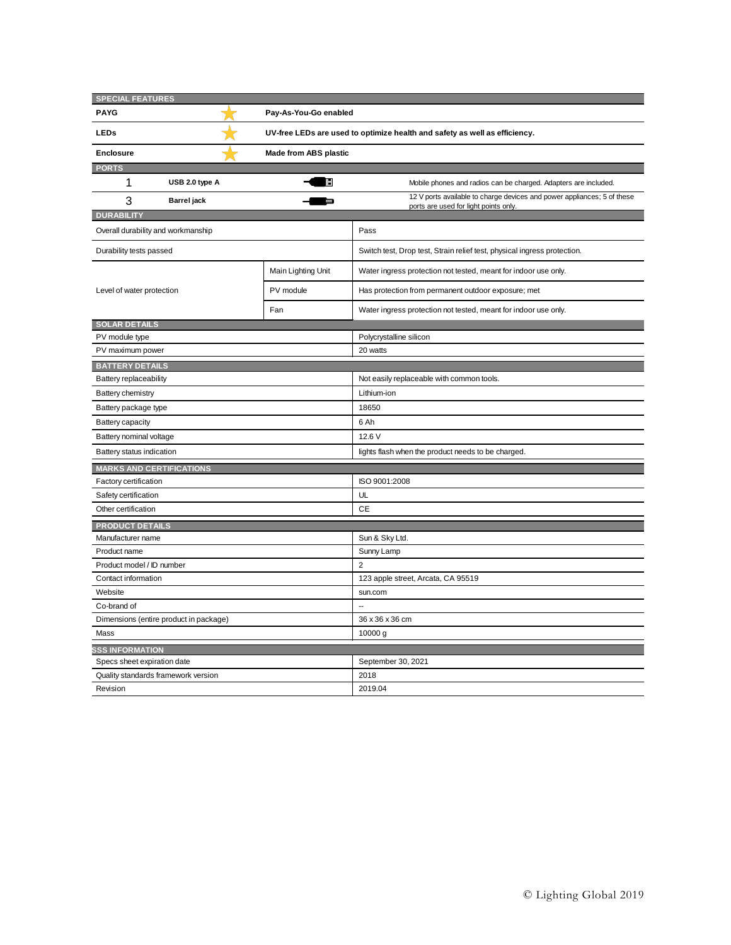| <b>SPECIAL FEATURES</b>                |                    |                              |                                                                                                                  |  |  |  |
|----------------------------------------|--------------------|------------------------------|------------------------------------------------------------------------------------------------------------------|--|--|--|
| <b>PAYG</b>                            |                    | Pay-As-You-Go enabled        |                                                                                                                  |  |  |  |
| <b>LEDs</b>                            |                    |                              | UV-free LEDs are used to optimize health and safety as well as efficiency.                                       |  |  |  |
| <b>Enclosure</b>                       |                    | <b>Made from ABS plastic</b> |                                                                                                                  |  |  |  |
| <b>PORTS</b>                           |                    |                              |                                                                                                                  |  |  |  |
| 1                                      | USB 2.0 type A     |                              | Mobile phones and radios can be charged. Adapters are included.                                                  |  |  |  |
| 3                                      | <b>Barrel</b> jack |                              | 12 V ports available to charge devices and power appliances; 5 of these<br>ports are used for light points only. |  |  |  |
| <b>DURABILITY</b>                      |                    |                              |                                                                                                                  |  |  |  |
| Overall durability and workmanship     |                    |                              | Pass                                                                                                             |  |  |  |
| Durability tests passed                |                    |                              | Switch test, Drop test, Strain relief test, physical ingress protection.                                         |  |  |  |
|                                        |                    | Main Lighting Unit           | Water ingress protection not tested, meant for indoor use only.                                                  |  |  |  |
| Level of water protection              |                    | PV module                    | Has protection from permanent outdoor exposure; met                                                              |  |  |  |
|                                        |                    | Fan                          | Water ingress protection not tested, meant for indoor use only.                                                  |  |  |  |
| <b>SOLAR DETAILS</b>                   |                    |                              |                                                                                                                  |  |  |  |
| PV module type                         |                    |                              | Polycrystalline silicon                                                                                          |  |  |  |
| PV maximum power                       |                    |                              | 20 watts                                                                                                         |  |  |  |
| <b>BATTERY DETAILS</b>                 |                    |                              |                                                                                                                  |  |  |  |
| Battery replaceability                 |                    |                              | Not easily replaceable with common tools.                                                                        |  |  |  |
| <b>Battery chemistry</b>               |                    |                              | Lithium-ion                                                                                                      |  |  |  |
| Battery package type                   |                    |                              | 18650                                                                                                            |  |  |  |
| Battery capacity                       |                    |                              | 6 Ah                                                                                                             |  |  |  |
| Battery nominal voltage                |                    |                              | 12.6 V                                                                                                           |  |  |  |
| Battery status indication              |                    |                              | lights flash when the product needs to be charged.                                                               |  |  |  |
| <b>MARKS AND CERTIFICATIONS</b>        |                    |                              |                                                                                                                  |  |  |  |
| Factory certification                  |                    |                              | ISO 9001:2008                                                                                                    |  |  |  |
| Safety certification                   |                    |                              | UL                                                                                                               |  |  |  |
| Other certification                    |                    |                              | <b>CE</b>                                                                                                        |  |  |  |
| <b>PRODUCT DETAILS</b>                 |                    |                              |                                                                                                                  |  |  |  |
| Manufacturer name                      |                    |                              | Sun & Sky Ltd.                                                                                                   |  |  |  |
| Product name                           |                    |                              | Sunny Lamp                                                                                                       |  |  |  |
| Product model / ID number              |                    |                              | $\overline{2}$                                                                                                   |  |  |  |
| Contact information                    |                    |                              | 123 apple street, Arcata, CA 95519                                                                               |  |  |  |
| Website                                |                    |                              | sun.com                                                                                                          |  |  |  |
| Co-brand of                            |                    |                              | $\ddot{\phantom{a}}$                                                                                             |  |  |  |
| Dimensions (entire product in package) |                    |                              | 36 x 36 x 36 cm                                                                                                  |  |  |  |
| Mass                                   |                    |                              | 10000 g                                                                                                          |  |  |  |
| <b>SSS INFORMATION</b>                 |                    |                              |                                                                                                                  |  |  |  |
| Specs sheet expiration date            |                    |                              | September 30, 2021                                                                                               |  |  |  |
| Quality standards framework version    |                    |                              | 2018                                                                                                             |  |  |  |
| Revision                               |                    |                              | 2019.04                                                                                                          |  |  |  |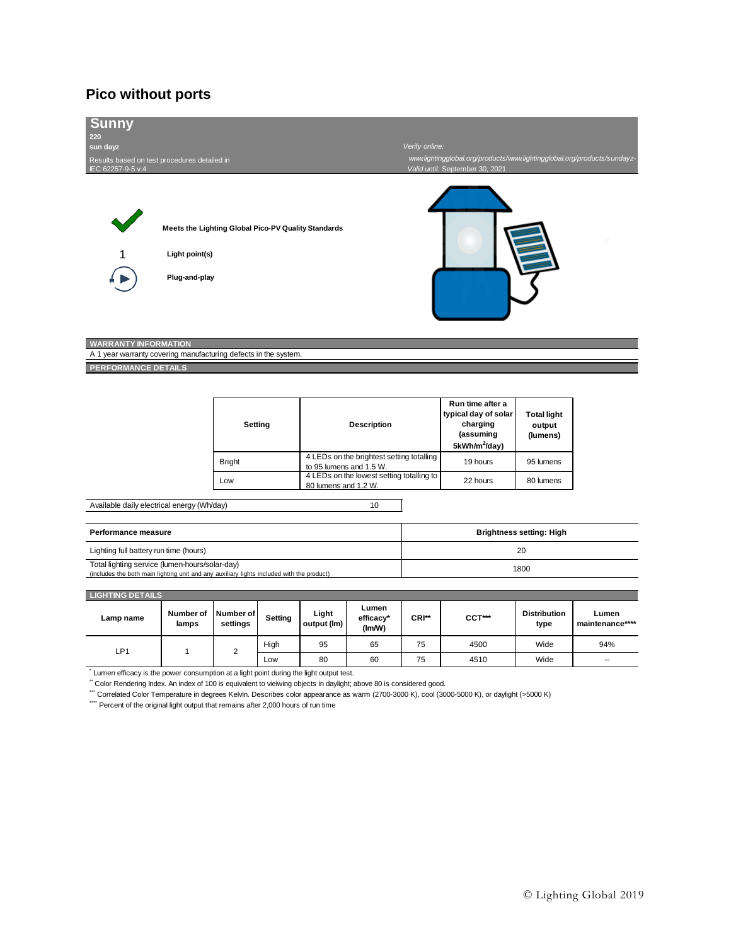# **Pico without ports**

| <b>Sunny</b><br>220<br>sun dayz<br>Results based on test procedures detailed in<br>IEC 62257-9-5 v.4 | Meets the Lighting Global Pico-PV Quality Standards                      |                                                                      | Verify online:<br>Valid until: September 30, 2021                                              | www.lightingglobal.org/products/www.lightingglobal.org/products/sundayz- |
|------------------------------------------------------------------------------------------------------|--------------------------------------------------------------------------|----------------------------------------------------------------------|------------------------------------------------------------------------------------------------|--------------------------------------------------------------------------|
|                                                                                                      | Light point(s)<br>Plug-and-play                                          |                                                                      |                                                                                                |                                                                          |
| <b>WARRANTY INFORMATION</b><br><b>PERFORMANCE DETAILS</b>                                            | A 1 year warranty covering manufacturing defects in the system.          |                                                                      |                                                                                                |                                                                          |
|                                                                                                      | Setting                                                                  | <b>Description</b>                                                   | Run time after a<br>typical day of solar<br>charging<br>(assuming<br>5kWh/m <sup>2</sup> /day) | <b>Total light</b><br>output<br>(lumens)                                 |
|                                                                                                      | <b>Bright</b>                                                            | 4 LEDs on the brightest setting totalling<br>to 95 lumens and 1.5 W. | 19 hours                                                                                       | 95 lumens                                                                |
|                                                                                                      | 4 LEDs on the lowest setting totalling to<br>Low<br>80 lumens and 1.2 W. |                                                                      |                                                                                                | 80 lumens                                                                |
| Available daily electrical energy (Wh/day)                                                           |                                                                          | 10                                                                   |                                                                                                |                                                                          |
| Performance measure                                                                                  |                                                                          |                                                                      |                                                                                                | <b>Brightness setting: High</b>                                          |
|                                                                                                      |                                                                          |                                                                      |                                                                                                |                                                                          |

| Lighting full battery run time (hours)                                                                                                      |      |
|---------------------------------------------------------------------------------------------------------------------------------------------|------|
| Total lighting service (lumen-hours/solar-day)<br>(includes the both main lighting unit and any auxiliary lights included with the product) | 1800 |
|                                                                                                                                             |      |

| <b>LIGHTING DETAILS</b> |
|-------------------------|
|                         |
|                         |

| Lamp name                                                                                                          | Number of<br>lamps | Number of<br>settings | Settina | Light<br>output (lm) | Lumen<br>efficacy*<br>(Im/W) | CRI** | $CCT***$ | <b>Distribution</b><br>type | Lumen<br>maintenance**** |
|--------------------------------------------------------------------------------------------------------------------|--------------------|-----------------------|---------|----------------------|------------------------------|-------|----------|-----------------------------|--------------------------|
| LP1                                                                                                                |                    | 2                     | High    | 95                   | 65                           | 75    | 4500     | Wide                        | 94%                      |
|                                                                                                                    |                    |                       | Low     | 80                   | 60                           | 75    | 4510     | Wide                        | --                       |
| Lumen efficacy is the power consumption at a light point during the light output test.                             |                    |                       |         |                      |                              |       |          |                             |                          |
| Color Rendering Index. An index of 100 is equivalent to vieiwing objects in daylight; above 80 is considered good. |                    |                       |         |                      |                              |       |          |                             |                          |

\*\*\* Correlated Color Temperature in degrees Kelvin. Describes color appearance as warm (2700-3000 K), cool (3000-5000 K), or daylight (>5000 K)

\*\*\*\*\* Percent of the original light output that remains after 2,000 hours of run time